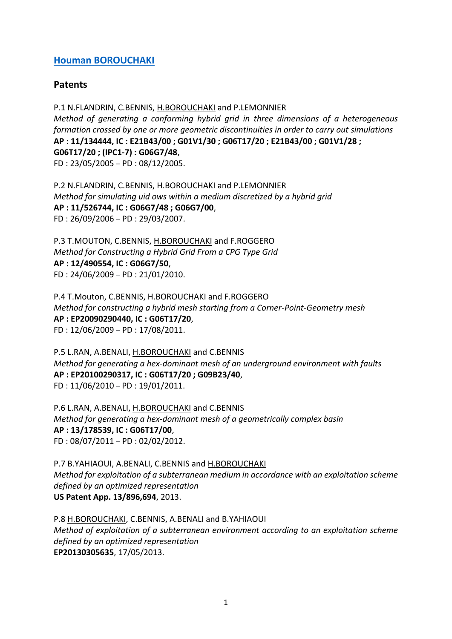## **[Houman BOROUCHAKI](https://recherche.utt.fr/automated-mesh-generation-and-advanced-methodology-gamma3/members/houman-borouchaki)**

## **Patents**

P.1 N.FLANDRIN, C.BENNIS, H.BOROUCHAKI and P.LEMONNIER *Method of generating a conforming hybrid grid in three dimensions of a heterogeneous formation crossed by one or more geometric discontinuities in order to carry out simulations* **AP : 11/134444, IC : E21B43/00 ; G01V1/30 ; G06T17/20 ; E21B43/00 ; G01V1/28 ; G06T17/20 ; (IPC1-7) : G06G7/48**, FD : 23/05/2005 – PD : 08/12/2005.

P.2 N.FLANDRIN, C.BENNIS, H.BOROUCHAKI and P.LEMONNIER *Method for simulating uid ows within a medium discretized by a hybrid grid* **AP : 11/526744, IC : G06G7/48 ; G06G7/00**, FD : 26/09/2006 – PD : 29/03/2007.

P.3 T.MOUTON, C.BENNIS, H.BOROUCHAKI and F.ROGGERO *Method for Constructing a Hybrid Grid From a CPG Type Grid* **AP : 12/490554, IC : G06G7/50**, FD : 24/06/2009 – PD : 21/01/2010.

P.4 T.Mouton, C.BENNIS, H.BOROUCHAKI and F.ROGGERO *Method for constructing a hybrid mesh starting from a Corner-Point-Geometry mesh* **AP : EP20090290440, IC : G06T17/20**, FD : 12/06/2009 – PD : 17/08/2011.

P.5 L.RAN, A.BENALI, H.BOROUCHAKI and C.BENNIS *Method for generating a hex-dominant mesh of an underground environment with faults* **AP : EP20100290317, IC : G06T17/20 ; G09B23/40**, FD : 11/06/2010 – PD : 19/01/2011.

P.6 L.RAN, A.BENALI, H.BOROUCHAKI and C.BENNIS *Method for generating a hex-dominant mesh of a geometrically complex basin* **AP : 13/178539, IC : G06T17/00**, FD : 08/07/2011 – PD : 02/02/2012.

P.7 B.YAHIAOUI, A.BENALI, C.BENNIS and H.BOROUCHAKI *Method for exploitation of a subterranean medium in accordance with an exploitation scheme defined by an optimized representation* **US Patent App. 13/896,694**, 2013.

P.8 H.BOROUCHAKI, C.BENNIS, A.BENALI and B.YAHIAOUI *Method of exploitation of a subterranean environment according to an exploitation scheme defined by an optimized representation* **EP20130305635**, 17/05/2013.